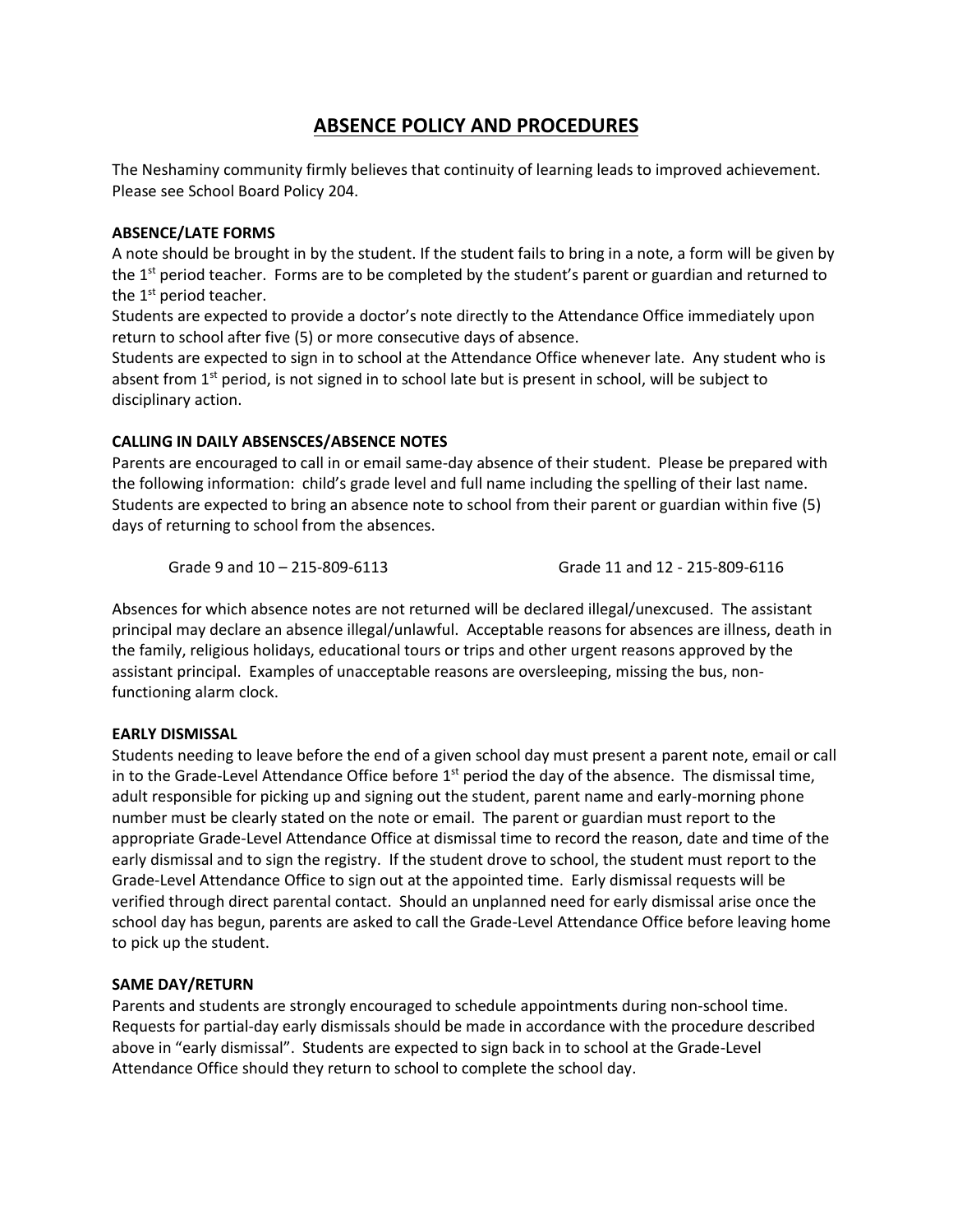# **ABSENCE POLICY AND PROCEDURES**

The Neshaminy community firmly believes that continuity of learning leads to improved achievement. Please see School Board Policy 204.

## **ABSENCE/LATE FORMS**

A note should be brought in by the student. If the student fails to bring in a note, a form will be given by the  $1<sup>st</sup>$  period teacher. Forms are to be completed by the student's parent or guardian and returned to the 1<sup>st</sup> period teacher.

Students are expected to provide a doctor's note directly to the Attendance Office immediately upon return to school after five (5) or more consecutive days of absence.

Students are expected to sign in to school at the Attendance Office whenever late. Any student who is absent from 1<sup>st</sup> period, is not signed in to school late but is present in school, will be subject to disciplinary action.

## **CALLING IN DAILY ABSENSCES/ABSENCE NOTES**

Parents are encouraged to call in or email same-day absence of their student. Please be prepared with the following information: child's grade level and full name including the spelling of their last name. Students are expected to bring an absence note to school from their parent or guardian within five (5) days of returning to school from the absences.

Grade 9 and 10 – 215-809-6113 Grade 11 and 12 - 215-809-6116

Absences for which absence notes are not returned will be declared illegal/unexcused. The assistant principal may declare an absence illegal/unlawful. Acceptable reasons for absences are illness, death in the family, religious holidays, educational tours or trips and other urgent reasons approved by the assistant principal. Examples of unacceptable reasons are oversleeping, missing the bus, nonfunctioning alarm clock.

## **EARLY DISMISSAL**

Students needing to leave before the end of a given school day must present a parent note, email or call in to the Grade-Level Attendance Office before  $1<sup>st</sup>$  period the day of the absence. The dismissal time, adult responsible for picking up and signing out the student, parent name and early-morning phone number must be clearly stated on the note or email. The parent or guardian must report to the appropriate Grade-Level Attendance Office at dismissal time to record the reason, date and time of the early dismissal and to sign the registry. If the student drove to school, the student must report to the Grade-Level Attendance Office to sign out at the appointed time. Early dismissal requests will be verified through direct parental contact. Should an unplanned need for early dismissal arise once the school day has begun, parents are asked to call the Grade-Level Attendance Office before leaving home to pick up the student.

## **SAME DAY/RETURN**

Parents and students are strongly encouraged to schedule appointments during non-school time. Requests for partial-day early dismissals should be made in accordance with the procedure described above in "early dismissal". Students are expected to sign back in to school at the Grade-Level Attendance Office should they return to school to complete the school day.